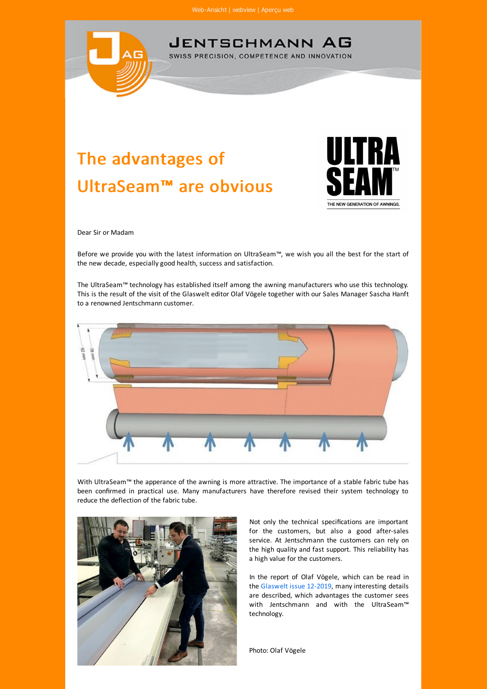

## The advantages of UltraSeam™ are obvious



Dear Sir or Madam

Before we provide you with the latest information on UltraSeam™, we wish you all the best for the start of the new decade, especially good health, success and satisfaction.

The UltraSeam™ technology has established itself among the awning manufacturers who use this technology. This is the result of the visit of the Glaswelt editor Olaf Vögele together with our Sales Manager Sascha Hanft to a renowned Jentschmann customer.



With UltraSeam™ the apperance of the awning is more attractive. The importance of a stable fabric tube has been confirmed in practical use. Many manufacturers have therefore revised their system technology to reduce the deflection of the fabric tube.



Not only the technical specifications are important for the customers, but also a good after-sales service. At Jentschmann the customers can rely on the high quality and fast support. This reliability has a high value for the customers.

In the report of Olaf Vögele, which can be read in the [Glaswelt issue 12-2019](https://t05ec9320.emailsys1a.net/c/171/2509629/0/0/0/76935/b52028dadd.html), many interesting details are described, which advantages the customer sees with Jentschmann and with the UltraSeam™ technology.

Photo: Olaf Vögele